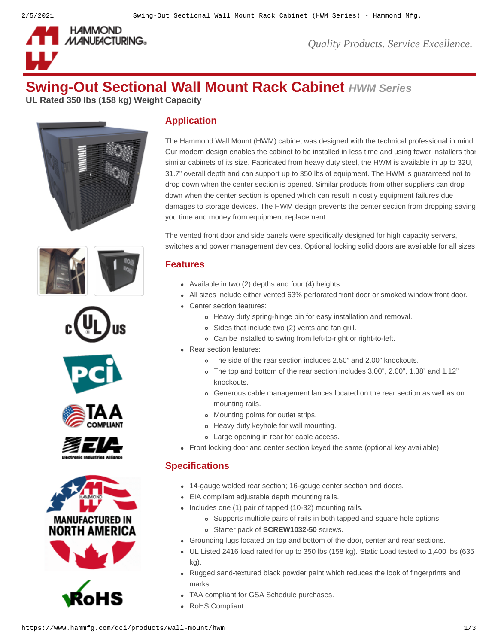

*Quality Products. Service Excellence.*

# **Swing-Out Sectional Wall Mount Rack Cabinet** *HWM Series*

**UL Rated 350 lbs (158 kg) Weight Capacity**















# **Application**

The Hammond Wall Mount (HWM) cabinet was designed with the technical professional in mind. Our modern design enables the cabinet to be installed in less time and using fewer installers than similar cabinets of its size. Fabricated from heavy duty steel, the HWM is available in up to 32U, 31.7" overall depth and can support up to 350 lbs of equipment. The HWM is guaranteed not to drop down when the center section is opened. Similar products from other suppliers can drop down when the center section is opened which can result in costly equipment failures due damages to storage devices. The HWM design prevents the center section from dropping saving you time and money from equipment replacement.

The vented front door and side panels were specifically designed for high capacity servers, switches and power management devices. Optional locking solid doors are available for all sizes

#### **Features**

- Available in two  $(2)$  depths and four  $(4)$  heights.
- All sizes include either vented 63% perforated front door or smoked window front door.
- Center section features:
	- Heavy duty spring-hinge pin for easy installation and removal.
	- Sides that include two (2) vents and fan grill.
	- Can be installed to swing from left-to-right or right-to-left.
- Rear section features:
	- The side of the rear section includes 2.50" and 2.00" knockouts.
	- The top and bottom of the rear section includes 3.00", 2.00", 1.38" and 1.12" knockouts.
	- Generous cable management lances located on the rear section as well as on mounting rails.
	- Mounting points for outlet strips.
	- Heavy duty keyhole for wall mounting.
	- Large opening in rear for cable access.
- Front locking door and center section keyed the same (optional key available).

### **Specifications**

- 14-gauge welded rear section; 16-gauge center section and doors.
- EIA compliant adjustable depth mounting rails.
- $\bullet$  Includes one (1) pair of tapped (10-32) mounting rails.
	- Supports multiple pairs of rails in both tapped and square hole options.
	- Starter pack of **[SCREW1032-50](https://www.hammfg.com/dci/products/accessories/screw)** screws.
- Grounding lugs located on top and bottom of the door, center and rear sections.
- UL Listed 2416 load rated for up to 350 lbs (158 kg). Static Load tested to 1,400 lbs (635 kg).
- Rugged sand-textured black powder paint which reduces the look of fingerprints and marks.
- TAA compliant for GSA Schedule purchases.
- RoHS Compliant.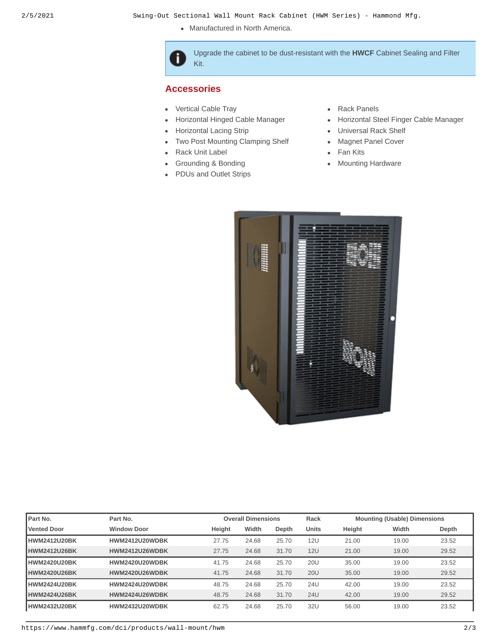• Manufactured in North America.

Upgrade the cabinet to be dust-resistant with the **[HWCF](https://www.hammfg.com/part/HWCF)** Cabinet Sealing and Filter Kit.

#### **Accessories**

f

- [Vertical Cable Tray](https://www.hammfg.com/dci/products/accessories/vct?referer=132&itm_type=accessory) **[Rack Panels](https://www.hammfg.com/dci/products/accessories/panels?referer=132&itm_type=accessory)**  $\bullet$
- $\bullet$
- $\bullet$
- [Two Post Mounting Clamping Shelf](https://www.hammfg.com/dci/products/accessories/racs?referer=132&itm_type=accessory) [Magnet Panel Cover](https://www.hammfg.com/dci/products/accessories/mpc?referer=132&itm_type=accessory)
- [Rack Unit Label](https://www.hammfg.com/dci/products/accessories/rulbk?referer=132&itm_type=accessory) **[Fan Kits](https://www.hammfg.com/dci/products/accessories/fk?referer=132&itm_type=accessory)**
- [Grounding & Bonding](https://www.hammfg.com/dci/products/accessories/grounding?referer=132&itm_type=accessory) [Mounting Hardware](https://www.hammfg.com/dci/products/accessories/mounting-hardware?referer=132&itm_type=accessory)  $\bullet$
- [PDUs and Outlet Strips](https://www.hammfg.com/electronics/outlet-strips?referer=132&itm_type=accessory)
- 
- [Horizontal Hinged Cable Manager](https://www.hammfg.com/dci/products/accessories/pcmdd?referer=132&itm_type=accessory) **Cable [Horizontal Steel Finger Cable Manager](https://www.hammfg.com/dci/products/accessories/pcmds?referer=132&itm_type=accessory) Horizontal Steel Finger Cable Manager**
- [Horizontal Lacing Strip](https://www.hammfg.com/dci/products/accessories/hcm?referer=132&itm_type=accessory) **Accord Contact Contact Contact Contact Contact Contact Contact Contact Contact Contact** 
	-
	-
	-



| Part No.            | Part No.              |        | <b>Overall Dimensions</b> |       | Rack         |        | <b>Mounting (Usable) Dimensions</b> |       |
|---------------------|-----------------------|--------|---------------------------|-------|--------------|--------|-------------------------------------|-------|
| <b>Vented Door</b>  | <b>Window Door</b>    | Height | Width                     | Depth | <b>Units</b> | Height | Width                               | Depth |
| <b>HWM2412U20BK</b> | <b>HWM2412U20WDBK</b> | 27.75  | 24.68                     | 25.70 | <b>12U</b>   | 21.00  | 19.00                               | 23.52 |
| HWM2412U26BK        | <b>HWM2412U26WDBK</b> | 27.75  | 24.68                     | 31.70 | <b>12U</b>   | 21.00  | 19.00                               | 29.52 |
| HWM2420U20BK        | HWM2420U20WDBK        | 41.75  | 24.68                     | 25.70 | <b>20U</b>   | 35.00  | 19.00                               | 23.52 |
| HWM2420U26BK        | HWM2420U26WDBK        | 41.75  | 24.68                     | 31.70 | <b>20U</b>   | 35.00  | 19.00                               | 29.52 |
| HWM2424U20BK        | <b>HWM2424U20WDBK</b> | 48.75  | 24.68                     | 25.70 | 24U          | 42.00  | 19.00                               | 23.52 |
| HWM2424U26BK        | <b>HWM2424U26WDBK</b> | 48.75  | 24.68                     | 31.70 | <b>24U</b>   | 42.00  | 19.00                               | 29.52 |
| HWM2432U20BK        | <b>HWM2432U20WDBK</b> | 62.75  | 24.68                     | 25.70 | 32U          | 56.00  | 19.00                               | 23.52 |